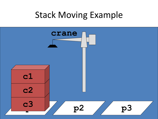#### Stack Moving Example

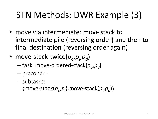### STN Methods: DWR Example (3)

- move via intermediate: move stack to intermediate pile (reversing order) and then to final destination (reversing order again)
- move-stack-twice( $p_o$ , $p_i$ , $p_d$ )
	- $-$  task: move-ordered-stack( $p^{}_{o}$ , $p^{}_{d}$ )
	- precond: -
	- subtasks:

〈move-stack(*p<sup>o</sup>* ,*pi* ),move-stack(*p<sup>i</sup>* ,*pd* )〉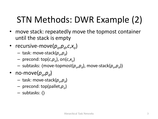## STN Methods: DWR Example (2)

- move stack: repeatedly move the topmost container until the stack is empty
- recursive-move( $p_o$ , $p_d$ , $c$ , $x_o$ )
	- task: move-stack(*p<sup>o</sup>* ,*pd* )
	- precond: top(*c*,*p<sup>o</sup>* ), on(*c*,*x<sup>o</sup>* )
	- subtasks: 〈move-topmost(*p<sup>o</sup>* ,*pd* ), move-stack(*p<sup>o</sup>* ,*pd* )〉
- no-move( $p_o, p_d$ )
	- task: move-stack(*p<sup>o</sup>* ,*pd* )
	- precond: top(pallet,*p<sup>o</sup>* )
	- subtasks: 〈〉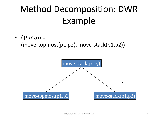## Method Decomposition: DWR Example

•  $\delta(t, m_i, \sigma) =$ 〈move-topmost(p1,p2), move-stack(p1,p2)〉

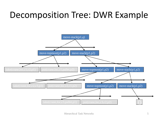#### Decomposition Tree: DWR Example

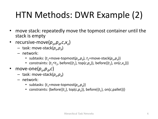# HTN Methods: DWR Example (2)

- move stack: repeatedly move the topmost container until the stack is empty
- recursive-move( $p_o$ , $p_d$ , $c$ , $x_o$ )
	- task: move-stack(*p<sup>o</sup>* ,*pd* )
	- network:
		- subtasks: { $t_1$ =move-topmost( $p_o$ , $p_d$ ),  $t_2$ =move-stack( $p_o$ , $p_d$ )}
		- constraints: { $t_1$  < $t_2$ , before({ $t_1$ }, top( $c, p_o$ )), before({ $t_1$ }, on( $c, x_o$ ))}
- move-one( $p^{\,}_{o},p^{\,}_{d},c$ )
	- task: move-stack(*p<sup>o</sup>* ,*pd* )
	- network:
		- subtasks: { $t_1$ =move-topmost( $p_o, p_d$ )}
		- constraints: {before({ $t_1$ }, top( $c, p_o$ )), before({ $t_1$ }, on( $c$ ,pallet))}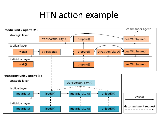#### HTN action example